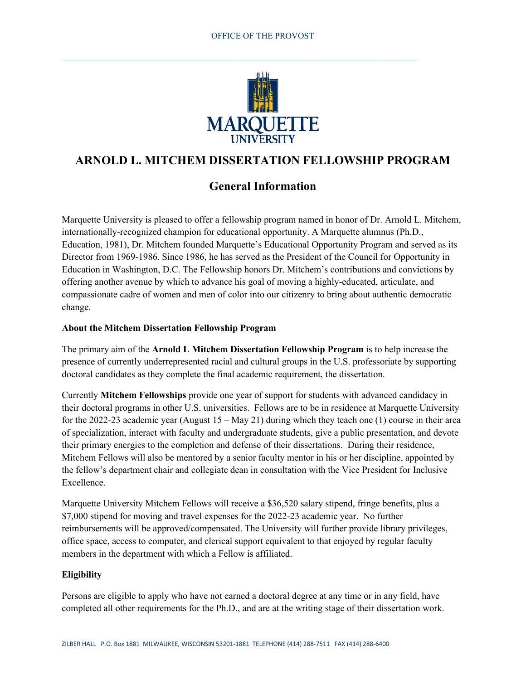$\_$  , and the set of the set of the set of the set of the set of the set of the set of the set of the set of the set of the set of the set of the set of the set of the set of the set of the set of the set of the set of th



# **ARNOLD L. MITCHEM DISSERTATION FELLOWSHIP PROGRAM**

## **General Information**

Marquette University is pleased to offer a fellowship program named in honor of Dr. Arnold L. Mitchem, internationally-recognized champion for educational opportunity. A Marquette alumnus (Ph.D., Education, 1981), Dr. Mitchem founded Marquette's Educational Opportunity Program and served as its Director from 1969-1986. Since 1986, he has served as the President of the Council for Opportunity in Education in Washington, D.C. The Fellowship honors Dr. Mitchem's contributions and convictions by offering another avenue by which to advance his goal of moving a highly-educated, articulate, and compassionate cadre of women and men of color into our citizenry to bring about authentic democratic change.

#### **About the Mitchem Dissertation Fellowship Program**

The primary aim of the **Arnold L Mitchem Dissertation Fellowship Program** is to help increase the presence of currently underrepresented racial and cultural groups in the U.S. professoriate by supporting doctoral candidates as they complete the final academic requirement, the dissertation.

Currently **Mitchem Fellowships** provide one year of support for students with advanced candidacy in their doctoral programs in other U.S. universities. Fellows are to be in residence at Marquette University for the 2022-23 academic year (August 15 – May 21) during which they teach one (1) course in their area of specialization, interact with faculty and undergraduate students, give a public presentation, and devote their primary energies to the completion and defense of their dissertations. During their residence, Mitchem Fellows will also be mentored by a senior faculty mentor in his or her discipline, appointed by the fellow's department chair and collegiate dean in consultation with the Vice President for Inclusive Excellence.

Marquette University Mitchem Fellows will receive a \$36,520 salary stipend, fringe benefits, plus a \$7,000 stipend for moving and travel expenses for the 2022-23 academic year. No further reimbursements will be approved/compensated. The University will further provide library privileges, office space, access to computer, and clerical support equivalent to that enjoyed by regular faculty members in the department with which a Fellow is affiliated.

#### **Eligibility**

Persons are eligible to apply who have not earned a doctoral degree at any time or in any field, have completed all other requirements for the Ph.D., and are at the writing stage of their dissertation work.